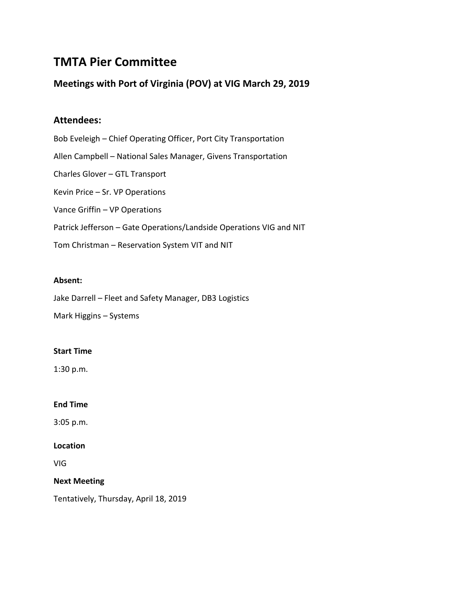# **TMTA Pier Committee**

## **Meetings with Port of Virginia (POV) at VIG March 29, 2019**

## **Attendees:**

Bob Eveleigh – Chief Operating Officer, Port City Transportation Allen Campbell – National Sales Manager, Givens Transportation Charles Glover – GTL Transport Kevin Price – Sr. VP Operations Vance Griffin – VP Operations Patrick Jefferson – Gate Operations/Landside Operations VIG and NIT Tom Christman – Reservation System VIT and NIT

#### **Absent:**

Jake Darrell – Fleet and Safety Manager, DB3 Logistics Mark Higgins – Systems

#### **Start Time**

1:30 p.m.

#### **End Time**

3:05 p.m.

#### **Location**

VIG

#### **Next Meeting**

Tentatively, Thursday, April 18, 2019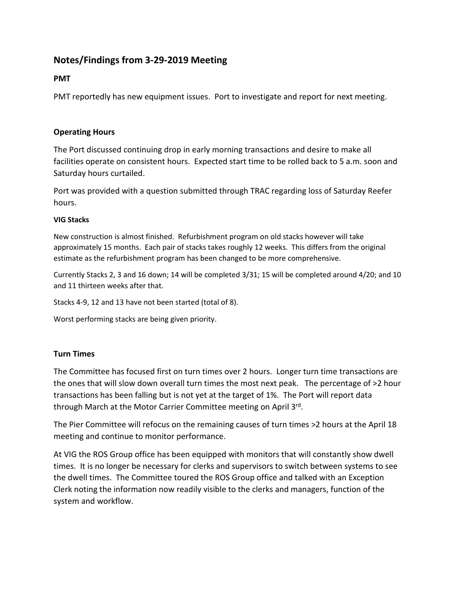# **Notes/Findings from 3-29-2019 Meeting**

#### **PMT**

PMT reportedly has new equipment issues. Port to investigate and report for next meeting.

### **Operating Hours**

The Port discussed continuing drop in early morning transactions and desire to make all facilities operate on consistent hours. Expected start time to be rolled back to 5 a.m. soon and Saturday hours curtailed.

Port was provided with a question submitted through TRAC regarding loss of Saturday Reefer hours.

#### **VIG Stacks**

New construction is almost finished. Refurbishment program on old stacks however will take approximately 15 months. Each pair of stacks takes roughly 12 weeks. This differs from the original estimate as the refurbishment program has been changed to be more comprehensive.

Currently Stacks 2, 3 and 16 down; 14 will be completed 3/31; 15 will be completed around 4/20; and 10 and 11 thirteen weeks after that.

Stacks 4-9, 12 and 13 have not been started (total of 8).

Worst performing stacks are being given priority.

## **Turn Times**

The Committee has focused first on turn times over 2 hours. Longer turn time transactions are the ones that will slow down overall turn times the most next peak. The percentage of >2 hour transactions has been falling but is not yet at the target of 1%. The Port will report data through March at the Motor Carrier Committee meeting on April 3<sup>rd</sup>.

The Pier Committee will refocus on the remaining causes of turn times >2 hours at the April 18 meeting and continue to monitor performance.

At VIG the ROS Group office has been equipped with monitors that will constantly show dwell times. It is no longer be necessary for clerks and supervisors to switch between systems to see the dwell times. The Committee toured the ROS Group office and talked with an Exception Clerk noting the information now readily visible to the clerks and managers, function of the system and workflow.